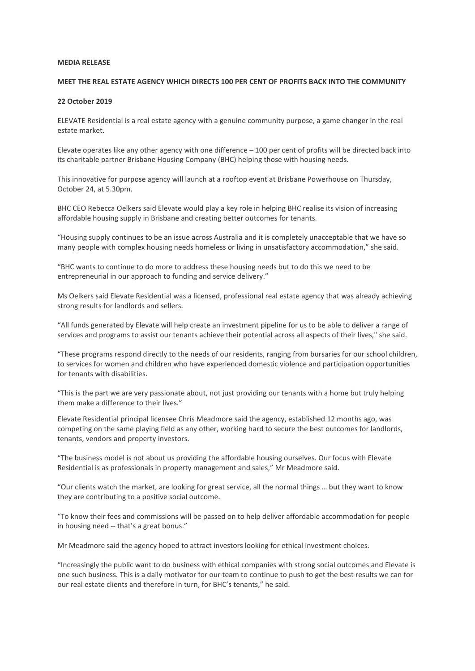## **MEDIA RELEASE**

## **MEET THE REAL ESTATE AGENCY WHICH DIRECTS 100 PER CENT OF PROFITS BACK INTO THE COMMUNITY**

## **22 October 2019**

ELEVATE Residential is a real estate agency with a genuine community purpose, a game changer in the real estate market.

Elevate operates like any other agency with one difference – 100 per cent of profits will be directed back into its charitable partner Brisbane Housing Company (BHC) helping those with housing needs.

This innovative for purpose agency will launch at a rooftop event at Brisbane Powerhouse on Thursday, October 24, at 5.30pm.

BHC CEO Rebecca Oelkers said Elevate would play a key role in helping BHC realise its vision of increasing affordable housing supply in Brisbane and creating better outcomes for tenants.

"Housing supply continues to be an issue across Australia and it is completely unacceptable that we have so many people with complex housing needs homeless or living in unsatisfactory accommodation," she said.

"BHC wants to continue to do more to address these housing needs but to do this we need to be entrepreneurial in our approach to funding and service delivery."

Ms Oelkers said Elevate Residential was a licensed, professional real estate agency that was already achieving strong results for landlords and sellers.

"All funds generated by Elevate will help create an investment pipeline for us to be able to deliver a range of services and programs to assist our tenants achieve their potential across all aspects of their lives," she said.

"These programs respond directly to the needs of our residents, ranging from bursaries for our school children, to services for women and children who have experienced domestic violence and participation opportunities for tenants with disabilities.

"This is the part we are very passionate about, not just providing our tenants with a home but truly helping them make a difference to their lives."

Elevate Residential principal licensee Chris Meadmore said the agency, established 12 months ago, was competing on the same playing field as any other, working hard to secure the best outcomes for landlords, tenants, vendors and property investors.

"The business model is not about us providing the affordable housing ourselves. Our focus with Elevate Residential is as professionals in property management and sales," Mr Meadmore said.

"Our clients watch the market, are looking for great service, all the normal things … but they want to know they are contributing to a positive social outcome.

"To know their fees and commissions will be passed on to help deliver affordable accommodation for people in housing need -- that's a great bonus."

Mr Meadmore said the agency hoped to attract investors looking for ethical investment choices.

"Increasingly the public want to do business with ethical companies with strong social outcomes and Elevate is one such business. This is a daily motivator for our team to continue to push to get the best results we can for our real estate clients and therefore in turn, for BHC's tenants," he said.